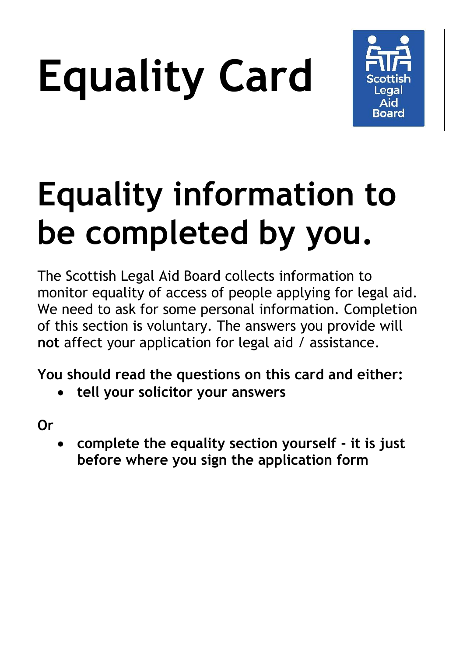# **Equality Card**



### **Equality information to be completed by you.**

The Scottish Legal Aid Board collects information to monitor equality of access of people applying for legal aid. We need to ask for some personal information. Completion of this section is voluntary. The answers you provide will **not** affect your application for legal aid / assistance.

**You should read the questions on this card and either:**

**tell your solicitor your answers** 

**Or**

 **complete the equality section yourself - it is just before where you sign the application form**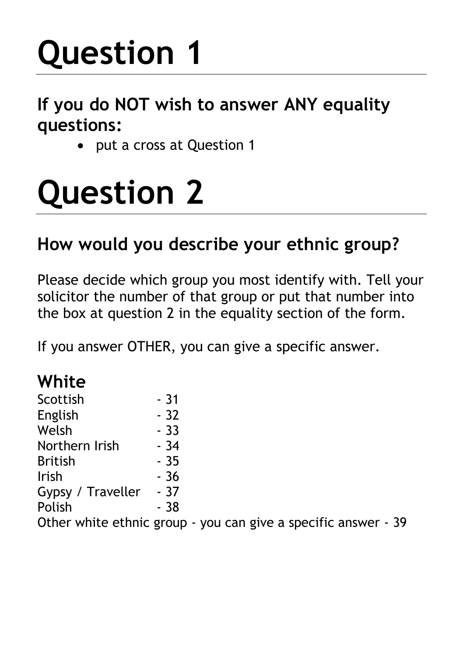# **Question 1**

#### **If you do NOT wish to answer ANY equality questions:**

• put a cross at Question 1

## **Question 2**

#### **How would you describe your ethnic group?**

Please decide which group you most identify with. Tell your solicitor the number of that group or put that number into the box at question 2 in the equality section of the form.

If you answer OTHER, you can give a specific answer.

#### **White**

| Scottish                       | $-31$ |
|--------------------------------|-------|
| English                        | $-32$ |
| Welsh                          | $-33$ |
| Northern Irish                 | $-34$ |
| <b>British</b>                 | $-35$ |
| Irish                          | $-36$ |
| Gypsy / Traveller              | - 37  |
| Polish                         | $-38$ |
| $Othorr which of http://www.n$ |       |

Other white ethnic group - you can give a specific answer - 39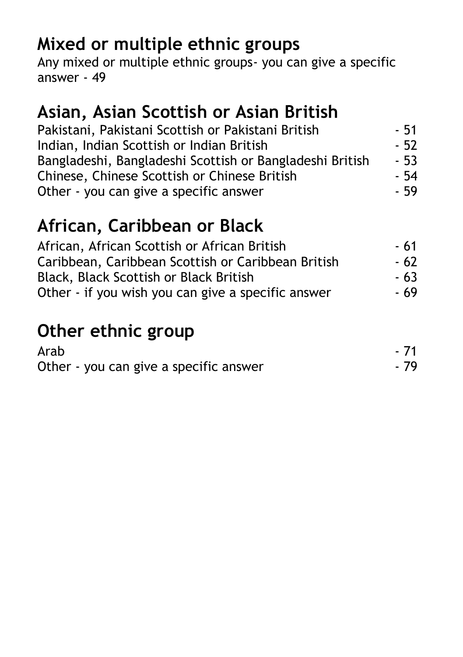#### **Mixed or multiple ethnic groups**

Any mixed or multiple ethnic groups- you can give a specific answer - 49

#### **Asian, Asian Scottish or Asian British**

| Pakistani, Pakistani Scottish or Pakistani British       | - 51  |
|----------------------------------------------------------|-------|
| Indian, Indian Scottish or Indian British                | $-52$ |
| Bangladeshi, Bangladeshi Scottish or Bangladeshi British | $-53$ |
| Chinese, Chinese Scottish or Chinese British             | - 54  |
| Other - you can give a specific answer                   | - 59  |

#### **African, Caribbean or Black**

| African, African Scottish or African British       | - 61 |
|----------------------------------------------------|------|
| Caribbean, Caribbean Scottish or Caribbean British | - 62 |
| Black, Black Scottish or Black British             | - 63 |
| Other - if you wish you can give a specific answer | - 69 |

#### **Other ethnic group**

| Arab                                   | $-71$ |
|----------------------------------------|-------|
| Other - you can give a specific answer | - 79  |